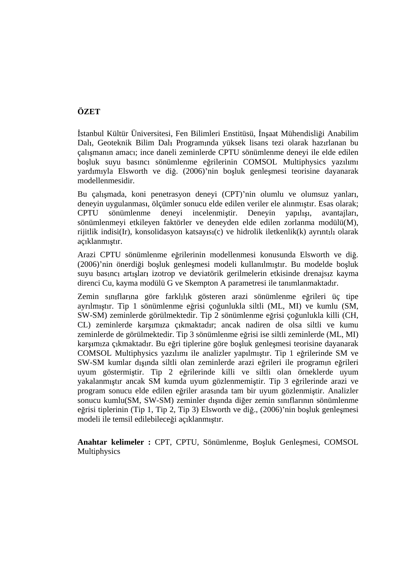## **ÖZET**

İstanbul Kültür Üniversitesi, Fen Bilimleri Enstitüsü, İnsaat Mühendisliği Anabilim Dalı, Geoteknik Bilim Dalı Programında yüksek lisans tezi olarak hazırlanan bu çalışmanın amacı; ince daneli zeminlerde CPTU sönümlenme deneyi ile elde edilen boşluk suyu basıncı sönümlenme eğrilerinin COMSOL Multiphysics yazılımı yardımıyla Elsworth ve diğ. (2006)'nin boşluk genleşmesi teorisine dayanarak modellenmesidir.

Bu çalışmada, koni penetrasyon deneyi (CPT)'nin olumlu ve olumsuz yanları, deneyin uygulanması, ölçümler sonucu elde edilen veriler ele alınmıştır. Esas olarak; CPTU sönümlenme denevi incelenmistir. Denevin vapılısı, avantajları, sönümlenmeyi etkileyen faktörler ve deneyden elde edilen zorlanma modülü(M), rijitlik indisi(Ir), konsolidasyon katsayısı(c) ve hidrolik iletkenlik(k) ayrıntılı olarak aç klanm t r.

Arazi CPTU sönümlenme eğrilerinin modellenmesi konusunda Elsworth ve diğ. (2006)'nin önerdiği boşluk genleşmesi modeli kullanılmıştır. Bu modelde boşluk suyu basıncı artışları izotrop ve deviatörik gerilmelerin etkisinde drenajsız kayma direnci Cu, kayma modülü G ve Skempton A parametresi ile tanımlanmaktadır.

Zemin sınıflarına göre farklılık gösteren arazi sönümlenme eğrileri üç tipe ayrılmıştır. Tip 1 sönümlenme eğrisi çoğunlukla siltli (ML, MI) ve kumlu (SM, SW-SM) zeminlerde görülmektedir. Tip 2 sönümlenme eğrisi çoğunlukla killi (CH, CL) zeminlerde karsımıza çıkmaktadır; ancak nadiren de olsa siltli ve kumu zeminlerde de görülmektedir. Tip 3 sönümlenme eğrisi ise siltli zeminlerde (ML, MI) kar sımıza çıkmaktadır. Bu eğri tiplerine göre bosluk genleşmesi teorisine dayanarak COMSOL Multiphysics yazılımı ile analizler yapılmıştır. Tip 1 eğrilerinde SM ve SW-SM kumlar dışında siltli olan zeminlerde arazi eğrileri ile programın eğrileri uyum göstermiştir. Tip 2 eğrilerinde killi ve siltli olan örneklerde uyum yakalanmıştır ancak SM kumda uyum gözlenmemiştir. Tip 3 eğrilerinde arazi ve program sonucu elde edilen eğriler arasında tam bir uyum gözlenmiştir. Analizler sonucu kumlu(SM, SW-SM) zeminler dışında diğer zemin sınıflarının sönümlenme eğrisi tiplerinin (Tip 1, Tip 2, Tip 3) Elsworth ve diğ.,  $(2006)$ 'nin boşluk genleşmesi modeli ile temsil edilebileceği açıklanmıştır.

Anahtar kelimeler : CPT, CPTU, Sönümlenme, Boşluk Genleşmesi, COMSOL Multiphysics